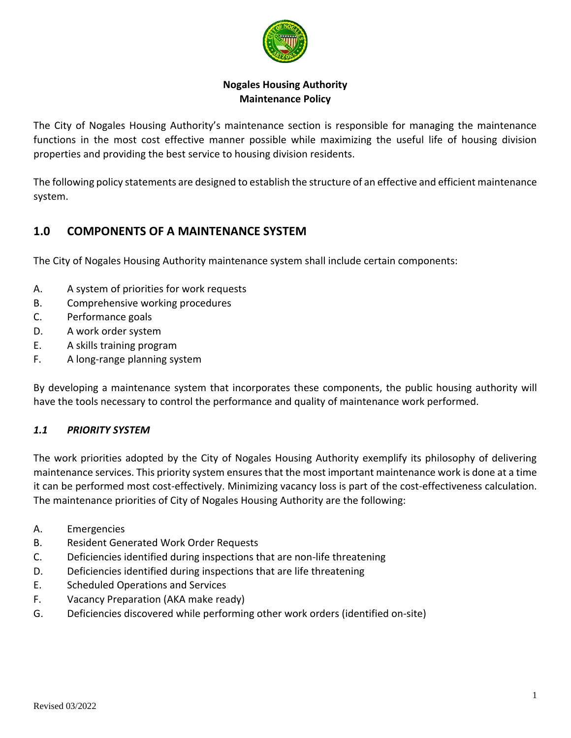

## **Nogales Housing Authority Maintenance Policy**

The City of Nogales Housing Authority's maintenance section is responsible for managing the maintenance functions in the most cost effective manner possible while maximizing the useful life of housing division properties and providing the best service to housing division residents.

The following policy statements are designed to establish the structure of an effective and efficient maintenance system.

# **1.0 COMPONENTS OF A MAINTENANCE SYSTEM**

The City of Nogales Housing Authority maintenance system shall include certain components:

- A. A system of priorities for work requests
- B. Comprehensive working procedures
- C. Performance goals
- D. A work order system
- E. A skills training program
- F. A long-range planning system

By developing a maintenance system that incorporates these components, the public housing authority will have the tools necessary to control the performance and quality of maintenance work performed.

## *1.1 PRIORITY SYSTEM*

The work priorities adopted by the City of Nogales Housing Authority exemplify its philosophy of delivering maintenance services. This priority system ensures that the most important maintenance work is done at a time it can be performed most cost-effectively. Minimizing vacancy loss is part of the cost-effectiveness calculation. The maintenance priorities of City of Nogales Housing Authority are the following:

- A. Emergencies
- B. Resident Generated Work Order Requests
- C. Deficiencies identified during inspections that are non-life threatening
- D. Deficiencies identified during inspections that are life threatening
- E. Scheduled Operations and Services
- F. Vacancy Preparation (AKA make ready)
- G. Deficiencies discovered while performing other work orders (identified on-site)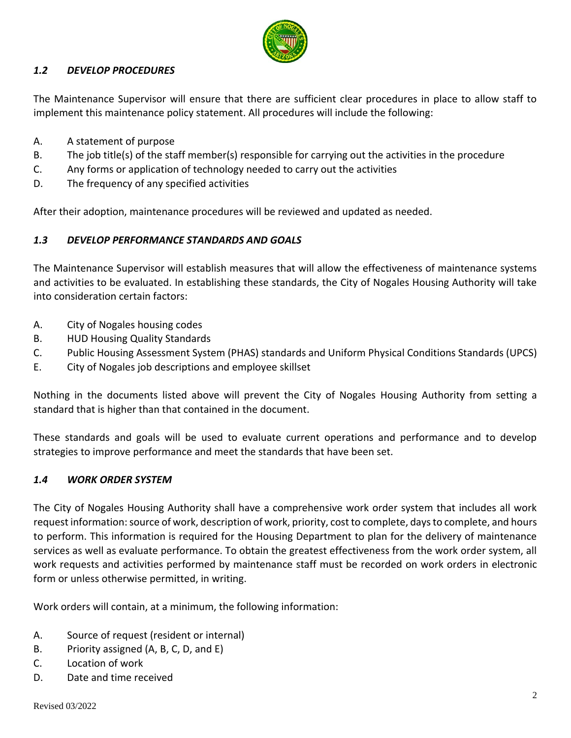

## *1.2 DEVELOP PROCEDURES*

The Maintenance Supervisor will ensure that there are sufficient clear procedures in place to allow staff to implement this maintenance policy statement. All procedures will include the following:

- A. A statement of purpose
- B. The job title(s) of the staff member(s) responsible for carrying out the activities in the procedure
- C. Any forms or application of technology needed to carry out the activities
- D. The frequency of any specified activities

After their adoption, maintenance procedures will be reviewed and updated as needed.

## *1.3 DEVELOP PERFORMANCE STANDARDS AND GOALS*

The Maintenance Supervisor will establish measures that will allow the effectiveness of maintenance systems and activities to be evaluated. In establishing these standards, the City of Nogales Housing Authority will take into consideration certain factors:

- A. City of Nogales housing codes
- B. HUD Housing Quality Standards
- C. Public Housing Assessment System (PHAS) standards and Uniform Physical Conditions Standards (UPCS)
- E. City of Nogales job descriptions and employee skillset

Nothing in the documents listed above will prevent the City of Nogales Housing Authority from setting a standard that is higher than that contained in the document.

These standards and goals will be used to evaluate current operations and performance and to develop strategies to improve performance and meet the standards that have been set.

## *1.4 WORK ORDER SYSTEM*

The City of Nogales Housing Authority shall have a comprehensive work order system that includes all work request information: source of work, description of work, priority, cost to complete, days to complete, and hours to perform. This information is required for the Housing Department to plan for the delivery of maintenance services as well as evaluate performance. To obtain the greatest effectiveness from the work order system, all work requests and activities performed by maintenance staff must be recorded on work orders in electronic form or unless otherwise permitted, in writing.

Work orders will contain, at a minimum, the following information:

- A. Source of request (resident or internal)
- B. Priority assigned (A, B, C, D, and E)
- C. Location of work
- D. Date and time received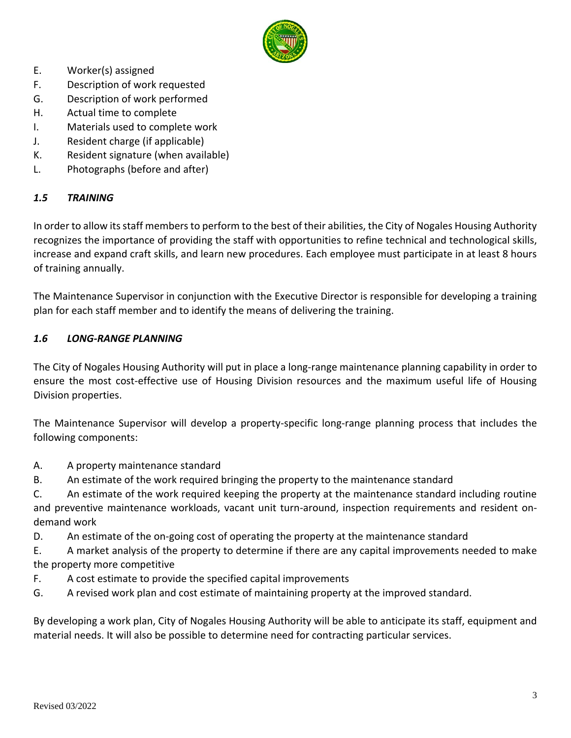

- E. Worker(s) assigned
- F. Description of work requested
- G. Description of work performed
- H. Actual time to complete
- I. Materials used to complete work
- J. Resident charge (if applicable)
- K. Resident signature (when available)
- L. Photographs (before and after)

## *1.5 TRAINING*

In order to allow its staff members to perform to the best of their abilities, the City of Nogales Housing Authority recognizes the importance of providing the staff with opportunities to refine technical and technological skills, increase and expand craft skills, and learn new procedures. Each employee must participate in at least 8 hours of training annually.

The Maintenance Supervisor in conjunction with the Executive Director is responsible for developing a training plan for each staff member and to identify the means of delivering the training.

#### *1.6 LONG-RANGE PLANNING*

The City of Nogales Housing Authority will put in place a long-range maintenance planning capability in order to ensure the most cost-effective use of Housing Division resources and the maximum useful life of Housing Division properties.

The Maintenance Supervisor will develop a property-specific long-range planning process that includes the following components:

- A. A property maintenance standard
- B. An estimate of the work required bringing the property to the maintenance standard

C. An estimate of the work required keeping the property at the maintenance standard including routine and preventive maintenance workloads, vacant unit turn-around, inspection requirements and resident ondemand work

D. An estimate of the on-going cost of operating the property at the maintenance standard

E. A market analysis of the property to determine if there are any capital improvements needed to make the property more competitive

- F. A cost estimate to provide the specified capital improvements
- G. A revised work plan and cost estimate of maintaining property at the improved standard.

By developing a work plan, City of Nogales Housing Authority will be able to anticipate its staff, equipment and material needs. It will also be possible to determine need for contracting particular services.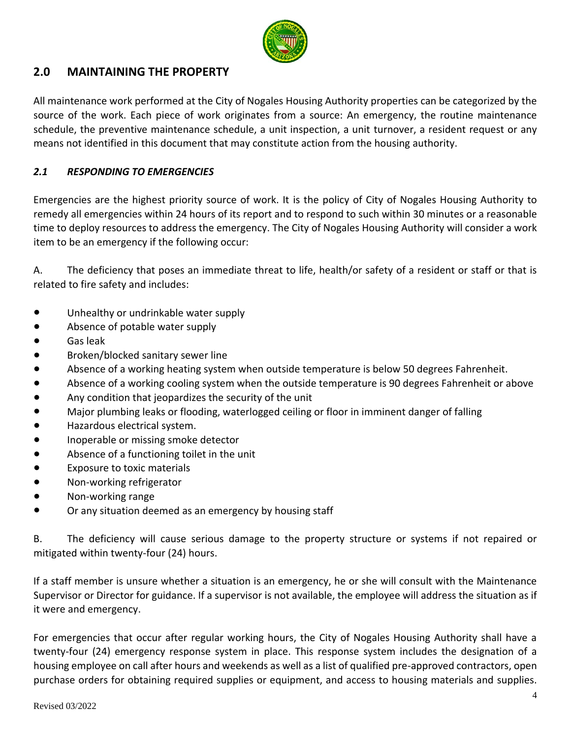

# **2.0 MAINTAINING THE PROPERTY**

All maintenance work performed at the City of Nogales Housing Authority properties can be categorized by the source of the work. Each piece of work originates from a source: An emergency, the routine maintenance schedule, the preventive maintenance schedule, a unit inspection, a unit turnover, a resident request or any means not identified in this document that may constitute action from the housing authority.

## *2.1 RESPONDING TO EMERGENCIES*

Emergencies are the highest priority source of work. It is the policy of City of Nogales Housing Authority to remedy all emergencies within 24 hours of its report and to respond to such within 30 minutes or a reasonable time to deploy resources to address the emergency. The City of Nogales Housing Authority will consider a work item to be an emergency if the following occur:

A. The deficiency that poses an immediate threat to life, health/or safety of a resident or staff or that is related to fire safety and includes:

- Unhealthy or undrinkable water supply
- Absence of potable water supply
- Gas leak
- Broken/blocked sanitary sewer line
- Absence of a working heating system when outside temperature is below 50 degrees Fahrenheit.
- Absence of a working cooling system when the outside temperature is 90 degrees Fahrenheit or above
- Any condition that jeopardizes the security of the unit
- Major plumbing leaks or flooding, waterlogged ceiling or floor in imminent danger of falling
- Hazardous electrical system.
- Inoperable or missing smoke detector
- Absence of a functioning toilet in the unit
- Exposure to toxic materials
- Non-working refrigerator
- Non-working range
- Or any situation deemed as an emergency by housing staff

B. The deficiency will cause serious damage to the property structure or systems if not repaired or mitigated within twenty-four (24) hours.

If a staff member is unsure whether a situation is an emergency, he or she will consult with the Maintenance Supervisor or Director for guidance. If a supervisor is not available, the employee will address the situation as if it were and emergency.

For emergencies that occur after regular working hours, the City of Nogales Housing Authority shall have a twenty-four (24) emergency response system in place. This response system includes the designation of a housing employee on call after hours and weekends as well as a list of qualified pre-approved contractors, open purchase orders for obtaining required supplies or equipment, and access to housing materials and supplies.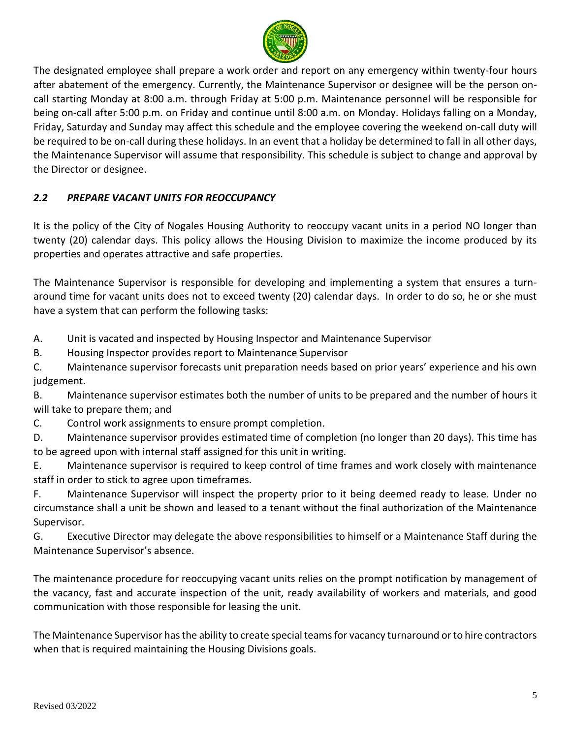

The designated employee shall prepare a work order and report on any emergency within twenty-four hours after abatement of the emergency. Currently, the Maintenance Supervisor or designee will be the person oncall starting Monday at 8:00 a.m. through Friday at 5:00 p.m. Maintenance personnel will be responsible for being on-call after 5:00 p.m. on Friday and continue until 8:00 a.m. on Monday. Holidays falling on a Monday, Friday, Saturday and Sunday may affect this schedule and the employee covering the weekend on-call duty will be required to be on-call during these holidays. In an event that a holiday be determined to fall in all other days, the Maintenance Supervisor will assume that responsibility. This schedule is subject to change and approval by the Director or designee.

## *2.2 PREPARE VACANT UNITS FOR REOCCUPANCY*

It is the policy of the City of Nogales Housing Authority to reoccupy vacant units in a period NO longer than twenty (20) calendar days. This policy allows the Housing Division to maximize the income produced by its properties and operates attractive and safe properties.

The Maintenance Supervisor is responsible for developing and implementing a system that ensures a turnaround time for vacant units does not to exceed twenty (20) calendar days. In order to do so, he or she must have a system that can perform the following tasks:

A. Unit is vacated and inspected by Housing Inspector and Maintenance Supervisor

B. Housing Inspector provides report to Maintenance Supervisor

C. Maintenance supervisor forecasts unit preparation needs based on prior years' experience and his own judgement.

B. Maintenance supervisor estimates both the number of units to be prepared and the number of hours it will take to prepare them; and

C. Control work assignments to ensure prompt completion.

D. Maintenance supervisor provides estimated time of completion (no longer than 20 days). This time has to be agreed upon with internal staff assigned for this unit in writing.

E. Maintenance supervisor is required to keep control of time frames and work closely with maintenance staff in order to stick to agree upon timeframes.

F. Maintenance Supervisor will inspect the property prior to it being deemed ready to lease. Under no circumstance shall a unit be shown and leased to a tenant without the final authorization of the Maintenance Supervisor.

G. Executive Director may delegate the above responsibilities to himself or a Maintenance Staff during the Maintenance Supervisor's absence.

The maintenance procedure for reoccupying vacant units relies on the prompt notification by management of the vacancy, fast and accurate inspection of the unit, ready availability of workers and materials, and good communication with those responsible for leasing the unit.

The Maintenance Supervisor has the ability to create special teams for vacancy turnaround or to hire contractors when that is required maintaining the Housing Divisions goals.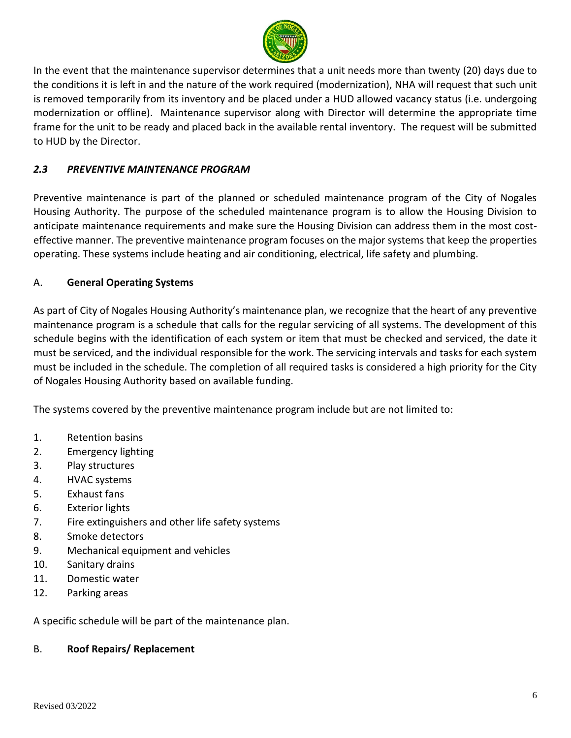

In the event that the maintenance supervisor determines that a unit needs more than twenty (20) days due to the conditions it is left in and the nature of the work required (modernization), NHA will request that such unit is removed temporarily from its inventory and be placed under a HUD allowed vacancy status (i.e. undergoing modernization or offline). Maintenance supervisor along with Director will determine the appropriate time frame for the unit to be ready and placed back in the available rental inventory. The request will be submitted to HUD by the Director.

## *2.3 PREVENTIVE MAINTENANCE PROGRAM*

Preventive maintenance is part of the planned or scheduled maintenance program of the City of Nogales Housing Authority. The purpose of the scheduled maintenance program is to allow the Housing Division to anticipate maintenance requirements and make sure the Housing Division can address them in the most costeffective manner. The preventive maintenance program focuses on the major systems that keep the properties operating. These systems include heating and air conditioning, electrical, life safety and plumbing.

## A. **General Operating Systems**

As part of City of Nogales Housing Authority's maintenance plan, we recognize that the heart of any preventive maintenance program is a schedule that calls for the regular servicing of all systems. The development of this schedule begins with the identification of each system or item that must be checked and serviced, the date it must be serviced, and the individual responsible for the work. The servicing intervals and tasks for each system must be included in the schedule. The completion of all required tasks is considered a high priority for the City of Nogales Housing Authority based on available funding.

The systems covered by the preventive maintenance program include but are not limited to:

- 1. Retention basins
- 2. Emergency lighting
- 3. Play structures
- 4. HVAC systems
- 5. Exhaust fans
- 6. Exterior lights
- 7. Fire extinguishers and other life safety systems
- 8. Smoke detectors
- 9. Mechanical equipment and vehicles
- 10. Sanitary drains
- 11. Domestic water
- 12. Parking areas

A specific schedule will be part of the maintenance plan.

#### B. **Roof Repairs/ Replacement**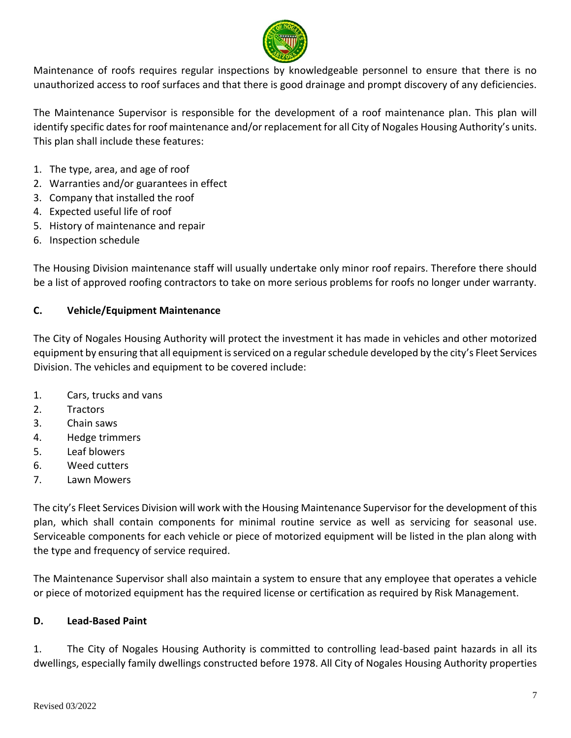

Maintenance of roofs requires regular inspections by knowledgeable personnel to ensure that there is no unauthorized access to roof surfaces and that there is good drainage and prompt discovery of any deficiencies.

The Maintenance Supervisor is responsible for the development of a roof maintenance plan. This plan will identify specific dates for roof maintenance and/or replacement for all City of Nogales Housing Authority's units. This plan shall include these features:

- 1. The type, area, and age of roof
- 2. Warranties and/or guarantees in effect
- 3. Company that installed the roof
- 4. Expected useful life of roof
- 5. History of maintenance and repair
- 6. Inspection schedule

The Housing Division maintenance staff will usually undertake only minor roof repairs. Therefore there should be a list of approved roofing contractors to take on more serious problems for roofs no longer under warranty.

## **C. Vehicle/Equipment Maintenance**

The City of Nogales Housing Authority will protect the investment it has made in vehicles and other motorized equipment by ensuring that all equipment is serviced on a regular schedule developed by the city's Fleet Services Division. The vehicles and equipment to be covered include:

- 1. Cars, trucks and vans
- 2. Tractors
- 3. Chain saws
- 4. Hedge trimmers
- 5. Leaf blowers
- 6. Weed cutters
- 7. Lawn Mowers

The city's Fleet Services Division will work with the Housing Maintenance Supervisor for the development of this plan, which shall contain components for minimal routine service as well as servicing for seasonal use. Serviceable components for each vehicle or piece of motorized equipment will be listed in the plan along with the type and frequency of service required.

The Maintenance Supervisor shall also maintain a system to ensure that any employee that operates a vehicle or piece of motorized equipment has the required license or certification as required by Risk Management.

## **D. Lead-Based Paint**

1. The City of Nogales Housing Authority is committed to controlling lead-based paint hazards in all its dwellings, especially family dwellings constructed before 1978. All City of Nogales Housing Authority properties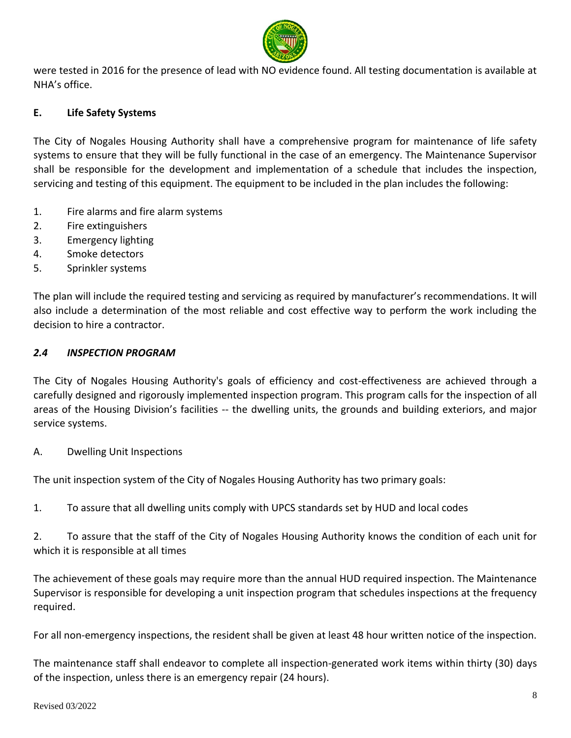

were tested in 2016 for the presence of lead with NO evidence found. All testing documentation is available at NHA's office.

#### **E. Life Safety Systems**

The City of Nogales Housing Authority shall have a comprehensive program for maintenance of life safety systems to ensure that they will be fully functional in the case of an emergency. The Maintenance Supervisor shall be responsible for the development and implementation of a schedule that includes the inspection, servicing and testing of this equipment. The equipment to be included in the plan includes the following:

- 1. Fire alarms and fire alarm systems
- 2. Fire extinguishers
- 3. Emergency lighting
- 4. Smoke detectors
- 5. Sprinkler systems

The plan will include the required testing and servicing as required by manufacturer's recommendations. It will also include a determination of the most reliable and cost effective way to perform the work including the decision to hire a contractor.

#### *2.4 INSPECTION PROGRAM*

The City of Nogales Housing Authority's goals of efficiency and cost-effectiveness are achieved through a carefully designed and rigorously implemented inspection program. This program calls for the inspection of all areas of the Housing Division's facilities -- the dwelling units, the grounds and building exteriors, and major service systems.

A. Dwelling Unit Inspections

The unit inspection system of the City of Nogales Housing Authority has two primary goals:

1. To assure that all dwelling units comply with UPCS standards set by HUD and local codes

2. To assure that the staff of the City of Nogales Housing Authority knows the condition of each unit for which it is responsible at all times

The achievement of these goals may require more than the annual HUD required inspection. The Maintenance Supervisor is responsible for developing a unit inspection program that schedules inspections at the frequency required.

For all non-emergency inspections, the resident shall be given at least 48 hour written notice of the inspection.

The maintenance staff shall endeavor to complete all inspection-generated work items within thirty (30) days of the inspection, unless there is an emergency repair (24 hours).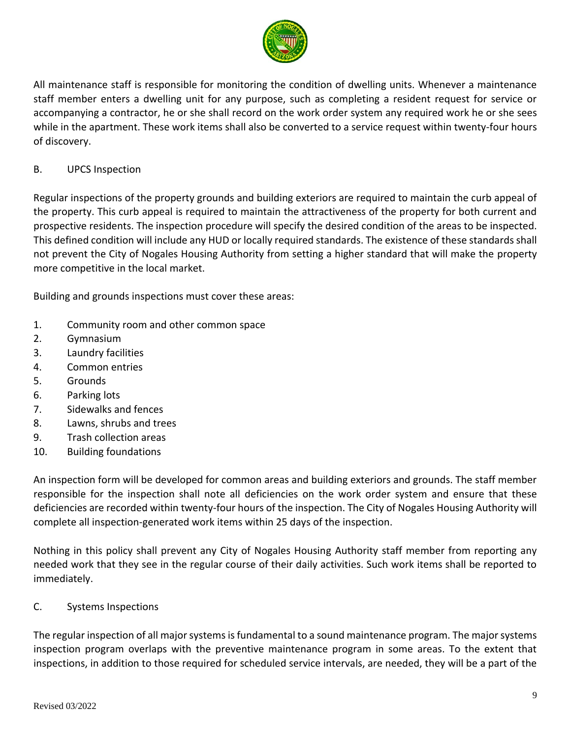

All maintenance staff is responsible for monitoring the condition of dwelling units. Whenever a maintenance staff member enters a dwelling unit for any purpose, such as completing a resident request for service or accompanying a contractor, he or she shall record on the work order system any required work he or she sees while in the apartment. These work items shall also be converted to a service request within twenty-four hours of discovery.

## B. UPCS Inspection

Regular inspections of the property grounds and building exteriors are required to maintain the curb appeal of the property. This curb appeal is required to maintain the attractiveness of the property for both current and prospective residents. The inspection procedure will specify the desired condition of the areas to be inspected. This defined condition will include any HUD or locally required standards. The existence of these standards shall not prevent the City of Nogales Housing Authority from setting a higher standard that will make the property more competitive in the local market.

Building and grounds inspections must cover these areas:

- 1. Community room and other common space
- 2. Gymnasium
- 3. Laundry facilities
- 4. Common entries
- 5. Grounds
- 6. Parking lots
- 7. Sidewalks and fences
- 8. Lawns, shrubs and trees
- 9. Trash collection areas
- 10. Building foundations

An inspection form will be developed for common areas and building exteriors and grounds. The staff member responsible for the inspection shall note all deficiencies on the work order system and ensure that these deficiencies are recorded within twenty-four hours of the inspection. The City of Nogales Housing Authority will complete all inspection-generated work items within 25 days of the inspection.

Nothing in this policy shall prevent any City of Nogales Housing Authority staff member from reporting any needed work that they see in the regular course of their daily activities. Such work items shall be reported to immediately.

## C. Systems Inspections

The regular inspection of all major systems is fundamental to a sound maintenance program. The major systems inspection program overlaps with the preventive maintenance program in some areas. To the extent that inspections, in addition to those required for scheduled service intervals, are needed, they will be a part of the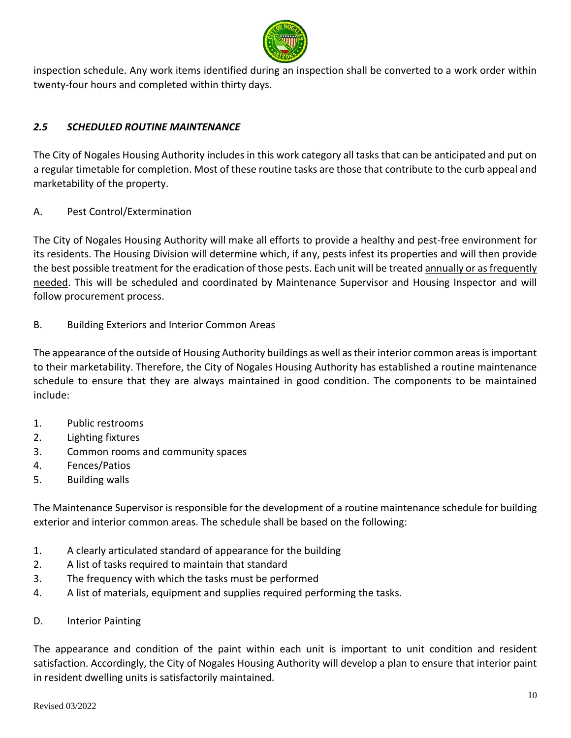

inspection schedule. Any work items identified during an inspection shall be converted to a work order within twenty-four hours and completed within thirty days.

## *2.5 SCHEDULED ROUTINE MAINTENANCE*

The City of Nogales Housing Authority includes in this work category all tasks that can be anticipated and put on a regular timetable for completion. Most of these routine tasks are those that contribute to the curb appeal and marketability of the property.

A. Pest Control/Extermination

The City of Nogales Housing Authority will make all efforts to provide a healthy and pest-free environment for its residents. The Housing Division will determine which, if any, pests infest its properties and will then provide the best possible treatment for the eradication of those pests. Each unit will be treated annually or as frequently needed. This will be scheduled and coordinated by Maintenance Supervisor and Housing Inspector and will follow procurement process.

B. Building Exteriors and Interior Common Areas

The appearance of the outside of Housing Authority buildings as well as their interior common areas is important to their marketability. Therefore, the City of Nogales Housing Authority has established a routine maintenance schedule to ensure that they are always maintained in good condition. The components to be maintained include:

- 1. Public restrooms
- 2. Lighting fixtures
- 3. Common rooms and community spaces
- 4. Fences/Patios
- 5. Building walls

The Maintenance Supervisor is responsible for the development of a routine maintenance schedule for building exterior and interior common areas. The schedule shall be based on the following:

- 1. A clearly articulated standard of appearance for the building
- 2. A list of tasks required to maintain that standard
- 3. The frequency with which the tasks must be performed
- 4. A list of materials, equipment and supplies required performing the tasks.
- D. Interior Painting

The appearance and condition of the paint within each unit is important to unit condition and resident satisfaction. Accordingly, the City of Nogales Housing Authority will develop a plan to ensure that interior paint in resident dwelling units is satisfactorily maintained.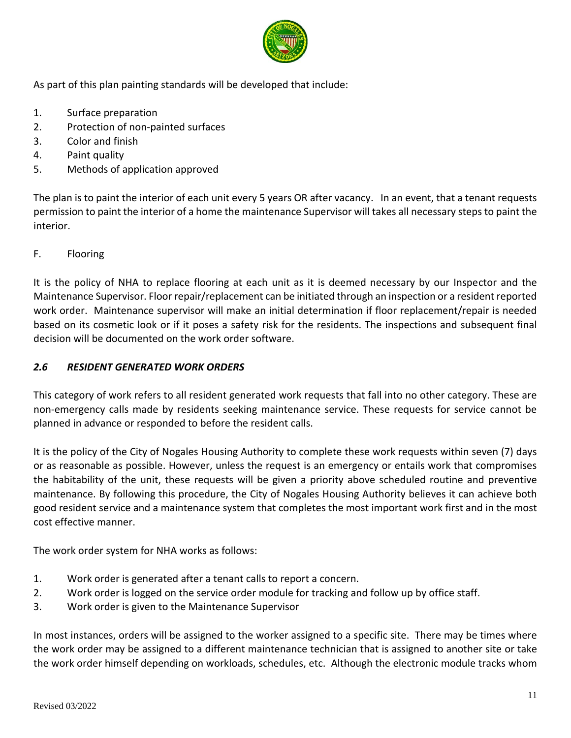

As part of this plan painting standards will be developed that include:

- 1. Surface preparation
- 2. Protection of non-painted surfaces
- 3. Color and finish
- 4. Paint quality
- 5. Methods of application approved

The plan is to paint the interior of each unit every 5 years OR after vacancy. In an event, that a tenant requests permission to paint the interior of a home the maintenance Supervisor will takes all necessary steps to paint the interior.

## F. Flooring

It is the policy of NHA to replace flooring at each unit as it is deemed necessary by our Inspector and the Maintenance Supervisor. Floor repair/replacement can be initiated through an inspection or a resident reported work order. Maintenance supervisor will make an initial determination if floor replacement/repair is needed based on its cosmetic look or if it poses a safety risk for the residents. The inspections and subsequent final decision will be documented on the work order software.

## *2.6 RESIDENT GENERATED WORK ORDERS*

This category of work refers to all resident generated work requests that fall into no other category. These are non-emergency calls made by residents seeking maintenance service. These requests for service cannot be planned in advance or responded to before the resident calls.

It is the policy of the City of Nogales Housing Authority to complete these work requests within seven (7) days or as reasonable as possible. However, unless the request is an emergency or entails work that compromises the habitability of the unit, these requests will be given a priority above scheduled routine and preventive maintenance. By following this procedure, the City of Nogales Housing Authority believes it can achieve both good resident service and a maintenance system that completes the most important work first and in the most cost effective manner.

The work order system for NHA works as follows:

- 1. Work order is generated after a tenant calls to report a concern.
- 2. Work order is logged on the service order module for tracking and follow up by office staff.
- 3. Work order is given to the Maintenance Supervisor

In most instances, orders will be assigned to the worker assigned to a specific site. There may be times where the work order may be assigned to a different maintenance technician that is assigned to another site or take the work order himself depending on workloads, schedules, etc. Although the electronic module tracks whom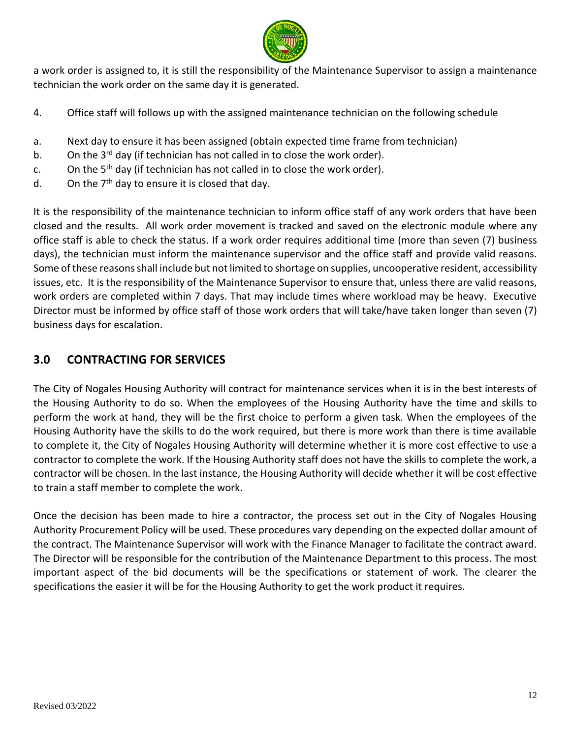

a work order is assigned to, it is still the responsibility of the Maintenance Supervisor to assign a maintenance technician the work order on the same day it is generated.

- 4. Office staff will follows up with the assigned maintenance technician on the following schedule
- a. Next day to ensure it has been assigned (obtain expected time frame from technician)
- b. On the  $3^{rd}$  day (if technician has not called in to close the work order).
- c. On the  $5<sup>th</sup>$  day (if technician has not called in to close the work order).
- d. On the  $7<sup>th</sup>$  day to ensure it is closed that day.

It is the responsibility of the maintenance technician to inform office staff of any work orders that have been closed and the results. All work order movement is tracked and saved on the electronic module where any office staff is able to check the status. If a work order requires additional time (more than seven (7) business days), the technician must inform the maintenance supervisor and the office staff and provide valid reasons. Some of these reasons shall include but not limited to shortage on supplies, uncooperative resident, accessibility issues, etc. It is the responsibility of the Maintenance Supervisor to ensure that, unless there are valid reasons, work orders are completed within 7 days. That may include times where workload may be heavy. Executive Director must be informed by office staff of those work orders that will take/have taken longer than seven (7) business days for escalation.

# **3.0 CONTRACTING FOR SERVICES**

The City of Nogales Housing Authority will contract for maintenance services when it is in the best interests of the Housing Authority to do so. When the employees of the Housing Authority have the time and skills to perform the work at hand, they will be the first choice to perform a given task. When the employees of the Housing Authority have the skills to do the work required, but there is more work than there is time available to complete it, the City of Nogales Housing Authority will determine whether it is more cost effective to use a contractor to complete the work. If the Housing Authority staff does not have the skills to complete the work, a contractor will be chosen. In the last instance, the Housing Authority will decide whether it will be cost effective to train a staff member to complete the work.

Once the decision has been made to hire a contractor, the process set out in the City of Nogales Housing Authority Procurement Policy will be used. These procedures vary depending on the expected dollar amount of the contract. The Maintenance Supervisor will work with the Finance Manager to facilitate the contract award. The Director will be responsible for the contribution of the Maintenance Department to this process. The most important aspect of the bid documents will be the specifications or statement of work. The clearer the specifications the easier it will be for the Housing Authority to get the work product it requires.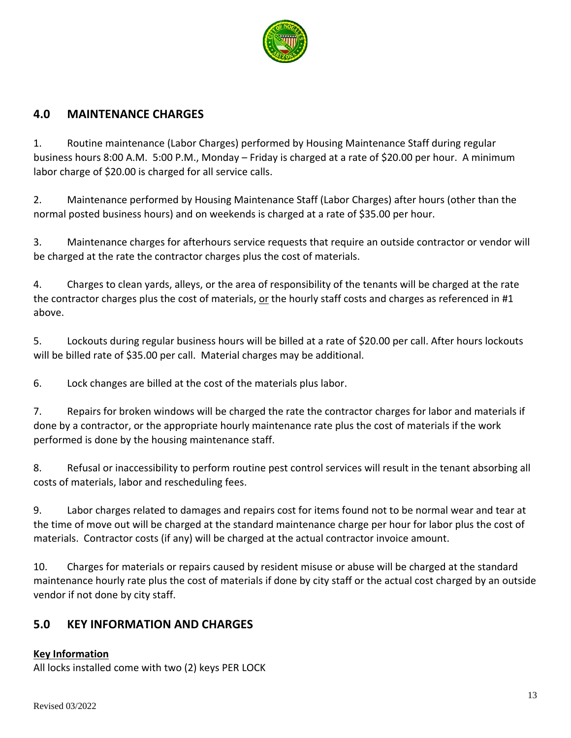

## **4.0 MAINTENANCE CHARGES**

1. Routine maintenance (Labor Charges) performed by Housing Maintenance Staff during regular business hours 8:00 A.M. 5:00 P.M., Monday – Friday is charged at a rate of \$20.00 per hour. A minimum labor charge of \$20.00 is charged for all service calls.

2. Maintenance performed by Housing Maintenance Staff (Labor Charges) after hours (other than the normal posted business hours) and on weekends is charged at a rate of \$35.00 per hour.

3. Maintenance charges for afterhours service requests that require an outside contractor or vendor will be charged at the rate the contractor charges plus the cost of materials.

4. Charges to clean yards, alleys, or the area of responsibility of the tenants will be charged at the rate the contractor charges plus the cost of materials, or the hourly staff costs and charges as referenced in #1 above.

5. Lockouts during regular business hours will be billed at a rate of \$20.00 per call. After hours lockouts will be billed rate of \$35.00 per call. Material charges may be additional.

6. Lock changes are billed at the cost of the materials plus labor.

7. Repairs for broken windows will be charged the rate the contractor charges for labor and materials if done by a contractor, or the appropriate hourly maintenance rate plus the cost of materials if the work performed is done by the housing maintenance staff.

8. Refusal or inaccessibility to perform routine pest control services will result in the tenant absorbing all costs of materials, labor and rescheduling fees.

9. Labor charges related to damages and repairs cost for items found not to be normal wear and tear at the time of move out will be charged at the standard maintenance charge per hour for labor plus the cost of materials. Contractor costs (if any) will be charged at the actual contractor invoice amount.

10. Charges for materials or repairs caused by resident misuse or abuse will be charged at the standard maintenance hourly rate plus the cost of materials if done by city staff or the actual cost charged by an outside vendor if not done by city staff.

# **5.0 KEY INFORMATION AND CHARGES**

## **Key Information**

All locks installed come with two (2) keys PER LOCK